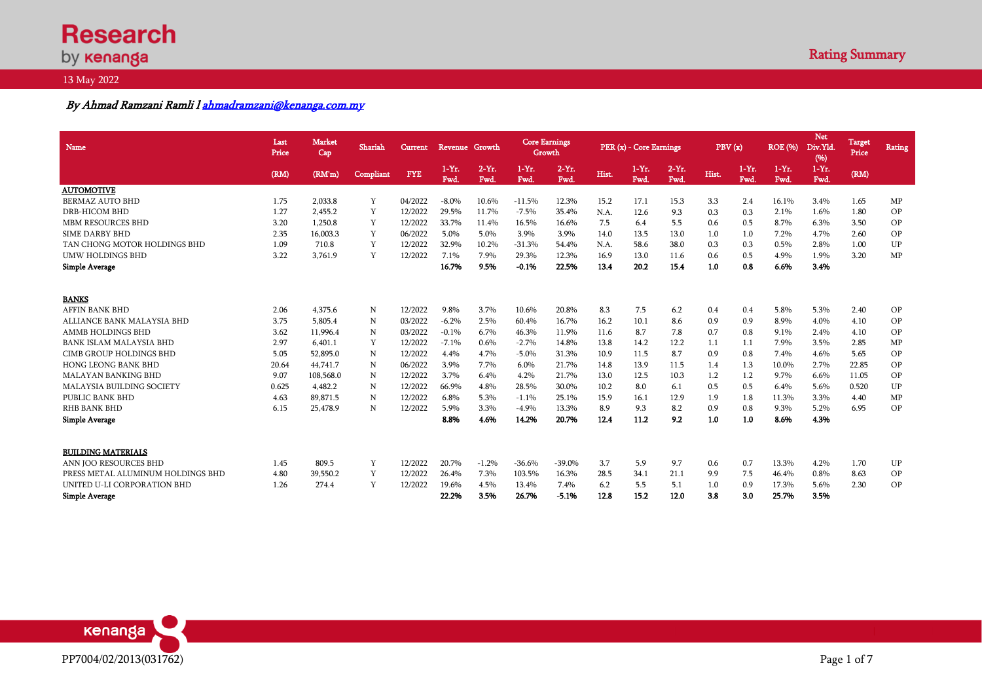# **Research** by **kenanga**

# 13 May 2022

# By Ahmad Ramzani Ramli [l ahmadramzani@kenanga.com.my](mailto:ahmadramzani@kenanga.com.my)

| Name                              | Last<br>Price | <b>Market</b><br>Cap | Shariah   | <b>Current</b> | Revenue Growth  |                  | <b>Core Earnings</b><br>Growth |                 |       | PER (x) - Core Earnings |                 | PBV(x) |                 | <b>ROE</b> (%)   | <b>Net</b><br>Div.Yld.<br>(96) | Target<br>Price | <b>Rating</b> |
|-----------------------------------|---------------|----------------------|-----------|----------------|-----------------|------------------|--------------------------------|-----------------|-------|-------------------------|-----------------|--------|-----------------|------------------|--------------------------------|-----------------|---------------|
|                                   | (RM)          | (RM'm)               | Compliant | <b>FYE</b>     | $1-Yr.$<br>Fwd. | $2-Yr$ .<br>Fwd. | $1-Yr.$<br>Fwd.                | $2-Yr.$<br>Fwd. | Hist. | $1-Yr.$<br>Fwd.         | $2-Yr.$<br>Fwd. | Hist.  | $1-Yr.$<br>Fwd. | $1-Yr$ .<br>Fwd. | $1-Yr$ .<br>Fwd.               | (RM)            |               |
| <b>AUTOMOTIVE</b>                 |               |                      |           |                |                 |                  |                                |                 |       |                         |                 |        |                 |                  |                                |                 |               |
| <b>BERMAZ AUTO BHD</b>            | 1.75          | 2.033.8              | Y         | 04/2022        | $-8.0\%$        | 10.6%            | $-11.5%$                       | 12.3%           | 15.2  | 17.1                    | 15.3            | 3.3    | 2.4             | 16.1%            | 3.4%                           | 1.65            | MP            |
| <b>DRB-HICOM BHD</b>              | 1.27          | 2.455.2              | Y         | 12/2022        | 29.5%           | 11.7%            | $-7.5%$                        | 35.4%           | N.A.  | 12.6                    | 9.3             | 0.3    | 0.3             | 2.1%             | 1.6%                           | 1.80            | OP            |
| <b>MBM RESOURCES BHD</b>          | 3.20          | 1.250.8              | Y         | 12/2022        | 33.7%           | 11.4%            | 16.5%                          | 16.6%           | 7.5   | 6.4                     | 5.5             | 0.6    | 0.5             | 8.7%             | 6.3%                           | 3.50            | OP            |
| <b>SIME DARBY BHD</b>             | 2.35          | 16,003.3             | Y         | 06/2022        | 5.0%            | 5.0%             | 3.9%                           | 3.9%            | 14.0  | 13.5                    | 13.0            | 1.0    | 1.0             | 7.2%             | 4.7%                           | 2.60            | OP            |
| TAN CHONG MOTOR HOLDINGS BHD      | 1.09          | 710.8                | Y         | 12/2022        | 32.9%           | 10.2%            | $-31.3%$                       | 54.4%           | N.A.  | 58.6                    | 38.0            | 0.3    | 0.3             | 0.5%             | 2.8%                           | 1.00            | UP            |
| <b>UMW HOLDINGS BHD</b>           | 3.22          | 3,761.9              | Y         | 12/2022        | 7.1%            | 7.9%             | 29.3%                          | 12.3%           | 16.9  | 13.0                    | 11.6            | 0.6    | 0.5             | 4.9%             | 1.9%                           | 3.20            | MP            |
| <b>Simple Average</b>             |               |                      |           |                | 16.7%           | 9.5%             | $-0.1%$                        | 22.5%           | 13.4  | 20.2                    | 15.4            | 1.0    | 0.8             | 6.6%             | 3.4%                           |                 |               |
| <b>BANKS</b>                      |               |                      |           |                |                 |                  |                                |                 |       |                         |                 |        |                 |                  |                                |                 |               |
| <b>AFFIN BANK BHD</b>             | 2.06          | 4.375.6              | N         | 12/2022        | 9.8%            | 3.7%             | 10.6%                          | 20.8%           | 8.3   | 7.5                     | 6.2             | 0.4    | 0.4             | 5.8%             | 5.3%                           | 2.40            | OP            |
| ALLIANCE BANK MALAYSIA BHD        | 3.75          | 5.805.4              | N         | 03/2022        | $-6.2%$         | 2.5%             | 60.4%                          | 16.7%           | 16.2  | 10.1                    | 8.6             | 0.9    | 0.9             | 8.9%             | 4.0%                           | 4.10            | OP            |
| <b>AMMB HOLDINGS BHD</b>          | 3.62          | 11,996.4             | N         | 03/2022        | $-0.1%$         | 6.7%             | 46.3%                          | 11.9%           | 11.6  | 8.7                     | 7.8             | 0.7    | 0.8             | 9.1%             | 2.4%                           | 4.10            | OP            |
| <b>BANK ISLAM MALAYSIA BHD</b>    | 2.97          | 6,401.1              | Y         | 12/2022        | $-7.1%$         | 0.6%             | $-2.7%$                        | 14.8%           | 13.8  | 14.2                    | 12.2            | 1.1    | 1.1             | 7.9%             | 3.5%                           | 2.85            | MP            |
| <b>CIMB GROUP HOLDINGS BHD</b>    | 5.05          | 52,895.0             | N         | 12/2022        | 4.4%            | 4.7%             | $-5.0\%$                       | 31.3%           | 10.9  | 11.5                    | 8.7             | 0.9    | 0.8             | 7.4%             | 4.6%                           | 5.65            | OP            |
| <b>HONG LEONG BANK BHD</b>        | 20.64         | 44,741.7             | N         | 06/2022        | 3.9%            | 7.7%             | $6.0\%$                        | 21.7%           | 14.8  | 13.9                    | 11.5            | 1.4    | 1.3             | 10.0%            | 2.7%                           | 22.85           | OP            |
| <b>MALAYAN BANKING BHD</b>        | 9.07          | 108,568.0            | N         | 12/2022        | 3.7%            | 6.4%             | 4.2%                           | 21.7%           | 13.0  | 12.5                    | 10.3            | 1.2    | 1.2             | 9.7%             | 6.6%                           | 11.05           | OP            |
| <b>MALAYSIA BUILDING SOCIETY</b>  | 0.625         | 4.482.2              | N         | 12/2022        | 66.9%           | 4.8%             | 28.5%                          | 30.0%           | 10.2  | 8.0                     | 6.1             | 0.5    | 0.5             | 6.4%             | 5.6%                           | 0.520           | UP            |
| PUBLIC BANK BHD                   | 4.63          | 89.871.5             | N         | 12/2022        | 6.8%            | 5.3%             | $-1.1%$                        | 25.1%           | 15.9  | 16.1                    | 12.9            | 1.9    | 1.8             | 11.3%            | 3.3%                           | 4.40            | MP            |
| <b>RHB BANK BHD</b>               | 6.15          | 25,478.9             | N         | 12/2022        | 5.9%            | 3.3%             | $-4.9%$                        | 13.3%           | 8.9   | 9.3                     | 8.2             | 0.9    | 0.8             | 9.3%             | 5.2%                           | 6.95            | OP            |
| <b>Simple Average</b>             |               |                      |           |                | 8.8%            | 4.6%             | 14.2%                          | 20.7%           | 12.4  | 11.2                    | 9.2             | 1.0    | 1.0             | 8.6%             | 4.3%                           |                 |               |
| <b>BUILDING MATERIALS</b>         |               |                      |           |                |                 |                  |                                |                 |       |                         |                 |        |                 |                  |                                |                 |               |
| ANN JOO RESOURCES BHD             | 1.45          | 809.5                | Y         | 12/2022        | 20.7%           | $-1.2%$          | $-36.6%$                       | $-39.0%$        | 3.7   | 5.9                     | 9.7             | 0.6    | 0.7             | 13.3%            | 4.2%                           | 1.70            | UP            |
| PRESS METAL ALUMINUM HOLDINGS BHD | 4.80          | 39,550.2             | Y         | 12/2022        | 26.4%           | 7.3%             | 103.5%                         | 16.3%           | 28.5  | 34.1                    | 21.1            | 9.9    | 7.5             | 46.4%            | 0.8%                           | 8.63            | OP            |
| UNITED U-LI CORPORATION BHD       | 1.26          | 274.4                | Y         | 12/2022        | 19.6%           | 4.5%             | 13.4%                          | 7.4%            | 6.2   | 5.5                     | 5.1             | 1.0    | 0.9             | 17.3%            | 5.6%                           | 2.30            | <b>OP</b>     |
| <b>Simple Average</b>             |               |                      |           |                | 22.2%           | 3.5%             | 26.7%                          | $-5.1%$         | 12.8  | 15.2                    | 12.0            | 3.8    | 3.0             | 25.7%            | 3.5%                           |                 |               |

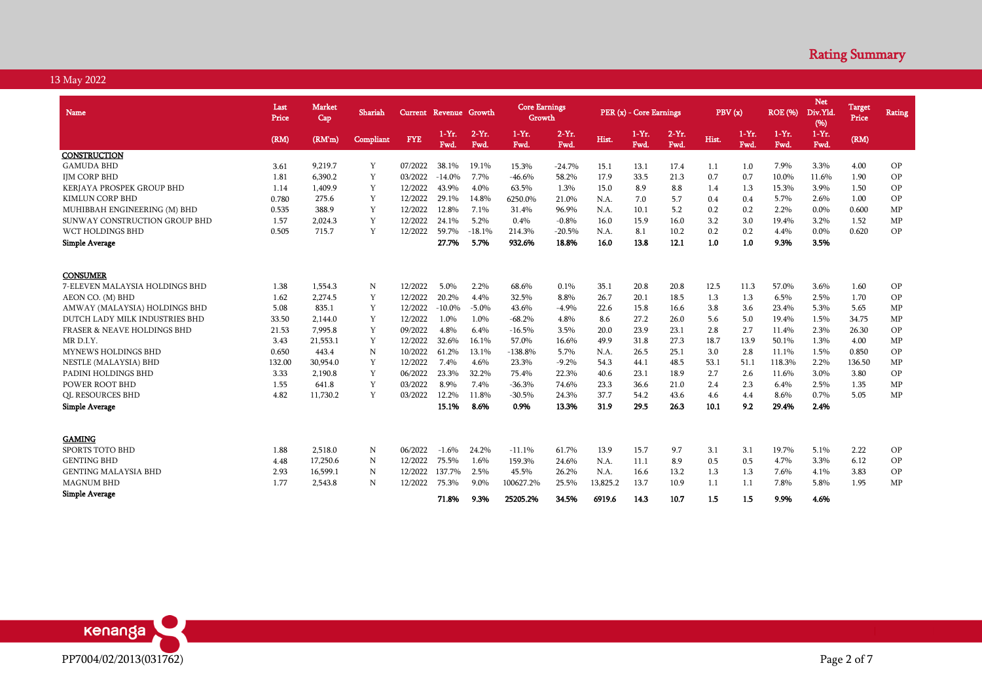| Name                                   | Last<br>Price | <b>Market</b><br>Cap | Shariah     | Current Revenue Growth |                 |                  | <b>Core Earnings</b><br>Growth |                 |          | PER (x) - Core Earnings |                 | PBV(x) |                 | <b>ROE</b> (%)  | <b>Net</b><br>Div.Yld<br>(96) | <b>Target</b><br>Price | Rating     |
|----------------------------------------|---------------|----------------------|-------------|------------------------|-----------------|------------------|--------------------------------|-----------------|----------|-------------------------|-----------------|--------|-----------------|-----------------|-------------------------------|------------------------|------------|
|                                        | (RM)          | (RM'm)               | Compliant   | <b>FYE</b>             | $1-Yr.$<br>Fwd. | $2-Yr$ .<br>Fwd. | $1-Yr$ .<br>Fwd.               | $2-Yr.$<br>Fwd. | Hist.    | $1-Yr$ .<br>Fwd.        | $2-Yr.$<br>Fwd. | Hist.  | $1-Yr.$<br>Fwd. | $1-Yr.$<br>Fwd. | $1-Yr.$<br>Fwd.               | (RM)                   |            |
| <b>CONSTRUCTION</b>                    |               |                      |             |                        |                 |                  |                                |                 |          |                         |                 |        |                 |                 |                               |                        |            |
| <b>GAMUDA BHD</b>                      | 3.61          | 9.219.7              | Y           | 07/2022                | 38.1%           | 19.1%            | 15.3%                          | $-24.7%$        | 15.1     | 13.1                    | 17.4            | 1.1    | 1.0             | 7.9%            | 3.3%                          | 4.00                   | <b>OP</b>  |
| <b>IJM CORP BHD</b>                    | 1.81          | 6.390.2              | Y           | 03/2022                | $-14.0\%$       | 7.7%             | -46.6%                         | 58.2%           | 17.9     | 33.5                    | 21.3            | 0.7    | 0.7             | 10.0%           | 11.6%                         | 1.90                   | OP         |
| KERJAYA PROSPEK GROUP BHD              | 1.14          | 1.409.9              | Y           | 12/2022                | 43.9%           | 4.0%             | 63.5%                          | 1.3%            | 15.0     | 8.9                     | 8.8             | 1.4    | 1.3             | 15.3%           | 3.9%                          | 1.50                   | OP         |
| <b>KIMLUN CORP BHD</b>                 | 0.780         | 275.6                | Y           | 12/2022                | 29.1%           | 14.8%            | 6250.0%                        | 21.0%           | N.A.     | 7.0                     | 5.7             | 0.4    | 0.4             | 5.7%            | 2.6%                          | 1.00                   | OP         |
| MUHIBBAH ENGINEERING (M) BHD           | 0.535         | 388.9                | Y           | 12/2022                | 12.8%           | 7.1%             | 31.4%                          | 96.9%           | N.A.     | 10.1                    | 5.2             | 0.2    | 0.2             | 2.2%            | 0.0%                          | 0.600                  | MP         |
| SUNWAY CONSTRUCTION GROUP BHD          | 1.57          | 2,024.3              | Y           | 12/2022                | 24.1%           | 5.2%             | 0.4%                           | $-0.8%$         | 16.0     | 15.9                    | 16.0            | 3.2    | 3.0             | 19.4%           | 3.2%                          | 1.52                   | MP         |
| WCT HOLDINGS BHD                       | 0.505         | 715.7                | Y           | 12/2022                | 59.7%           | $-18.1%$         | 214.3%                         | $-20.5%$        | N.A.     | 8.1                     | 10.2            | 0.2    | 0.2             | 4.4%            | $0.0\%$                       | 0.620                  | OP         |
| Simple Average                         |               |                      |             |                        | 27.7%           | 5.7%             | 932.6%                         | 18.8%           | 16.0     | 13.8                    | 12.1            | 1.0    | 1.0             | 9.3%            | 3.5%                          |                        |            |
| <b>CONSUMER</b>                        |               |                      |             |                        |                 |                  |                                |                 |          |                         |                 |        |                 |                 |                               |                        |            |
| 7-ELEVEN MALAYSIA HOLDINGS BHD         | 1.38          | 1.554.3              | N           | 12/2022                | 5.0%            | 2.2%             | 68.6%                          | 0.1%            | 35.1     | 20.8                    | 20.8            | 12.5   | 11.3            | 57.0%           | 3.6%                          | 1.60                   | OP         |
| AEON CO. (M) BHD                       | 1.62          | 2.274.5              | Y           | 12/2022                | 20.2%           | 4.4%             | 32.5%                          | 8.8%            | 26.7     | 20.1                    | 18.5            | 1.3    | 1.3             | 6.5%            | 2.5%                          | 1.70                   | OP         |
| AMWAY (MALAYSIA) HOLDINGS BHD          | 5.08          | 835.1                | Y           | 12/2022                | $-10.0\%$       | $-5.0\%$         | 43.6%                          | $-4.9%$         | 22.6     | 15.8                    | 16.6            | 3.8    | 3.6             | 23.4%           | 5.3%                          | 5.65                   | ${\rm MP}$ |
| DUTCH LADY MILK INDUSTRIES BHD         | 33.50         | 2,144.0              | Y           | 12/2022                | 1.0%            | 1.0%             | $-68.2%$                       | 4.8%            | 8.6      | 27.2                    | 26.0            | 5.6    | 5.0             | 19.4%           | 1.5%                          | 34.75                  | MP         |
| <b>FRASER &amp; NEAVE HOLDINGS BHD</b> | 21.53         | 7,995.8              | Y           | 09/2022                | 4.8%            | 6.4%             | $-16.5%$                       | 3.5%            | 20.0     | 23.9                    | 23.1            | 2.8    | 2.7             | 11.4%           | 2.3%                          | 26.30                  | OP         |
| MR D.I.Y.                              | 3.43          | 21,553.1             | Y           | 12/2022                | 32.6%           | 16.1%            | 57.0%                          | 16.6%           | 49.9     | 31.8                    | 27.3            | 18.7   | 13.9            | 50.1%           | 1.3%                          | 4.00                   | MP         |
| MYNEWS HOLDINGS BHD                    | 0.650         | 443.4                | ${\bf N}$   | 10/2022                | 61.2%           | 13.1%            | $-138.8%$                      | 5.7%            | N.A.     | 26.5                    | 25.1            | 3.0    | 2.8             | 11.1%           | 1.5%                          | 0.850                  | OP         |
| NESTLE (MALAYSIA) BHD                  | 132.00        | 30,954.0             | Y           | 12/2022                | 7.4%            | 4.6%             | 23.3%                          | $-9.2%$         | 54.3     | 44.1                    | 48.5            | 53.1   | 51.1            | 118.3%          | 2.2%                          | 136.50                 | MP         |
| PADINI HOLDINGS BHD                    | 3.33          | 2,190.8              | Y           | 06/2022                | 23.3%           | 32.2%            | 75.4%                          | 22.3%           | 40.6     | 23.1                    | 18.9            | 2.7    | 2.6             | 11.6%           | 3.0%                          | 3.80                   | OP         |
| POWER ROOT BHD                         | 1.55          | 641.8                | Y           | 03/2022                | 8.9%            | 7.4%             | $-36.3%$                       | 74.6%           | 23.3     | 36.6                    | 21.0            | 2.4    | 2.3             | 6.4%            | 2.5%                          | 1.35                   | MP         |
| <b>QL RESOURCES BHD</b>                | 4.82          | 11,730.2             | Y           | 03/2022                | 12.2%           | 11.8%            | $-30.5%$                       | 24.3%           | 37.7     | 54.2                    | 43.6            | 4.6    | 4.4             | 8.6%            | 0.7%                          | 5.05                   | MP         |
| <b>Simple Average</b>                  |               |                      |             |                        | 15.1%           | 8.6%             | 0.9%                           | 13.3%           | 31.9     | 29.5                    | 26.3            | 10.1   | 9.2             | 29.4%           | 2.4%                          |                        |            |
|                                        |               |                      |             |                        |                 |                  |                                |                 |          |                         |                 |        |                 |                 |                               |                        |            |
| <b>GAMING</b>                          |               |                      |             |                        |                 |                  |                                |                 |          |                         |                 |        |                 |                 |                               |                        |            |
| SPORTS TOTO BHD                        | 1.88          | 2,518.0              | N           | 06/2022                | $-1.6%$         | 24.2%            | $-11.1%$                       | 61.7%           | 13.9     | 15.7                    | 9.7             | 3.1    | 3.1             | 19.7%           | 5.1%                          | 2.22                   | OP         |
| <b>GENTING BHD</b>                     | 4.48          | 17,250.6             | N           | 12/2022                | 75.5%           | 1.6%             | 159.3%                         | 24.6%           | N.A.     | 11.1                    | 8.9             | 0.5    | 0.5             | 4.7%            | 3.3%                          | 6.12                   | OP         |
| <b>GENTING MALAYSIA BHD</b>            | 2.93          | 16,599.1             | $\mathbf N$ | 12/2022                | 137.7%          | 2.5%             | 45.5%                          | 26.2%           | N.A.     | 16.6                    | 13.2            | 1.3    | 1.3             | 7.6%            | 4.1%                          | 3.83                   | OP         |
| <b>MAGNUM BHD</b>                      | 1.77          | 2,543.8              | N           | 12/2022                | 75.3%           | 9.0%             | 100627.2%                      | 25.5%           | 13,825.2 | 13.7                    | 10.9            | 1.1    | 1.1             | 7.8%            | 5.8%                          | 1.95                   | MP         |
| <b>Simple Average</b>                  |               |                      |             |                        | 71.8%           | 9.3%             | 25205.2%                       | 34.5%           | 6919.6   | 14.3                    | 10.7            | 1.5    | 1.5             | 9.9%            | 4.6%                          |                        |            |

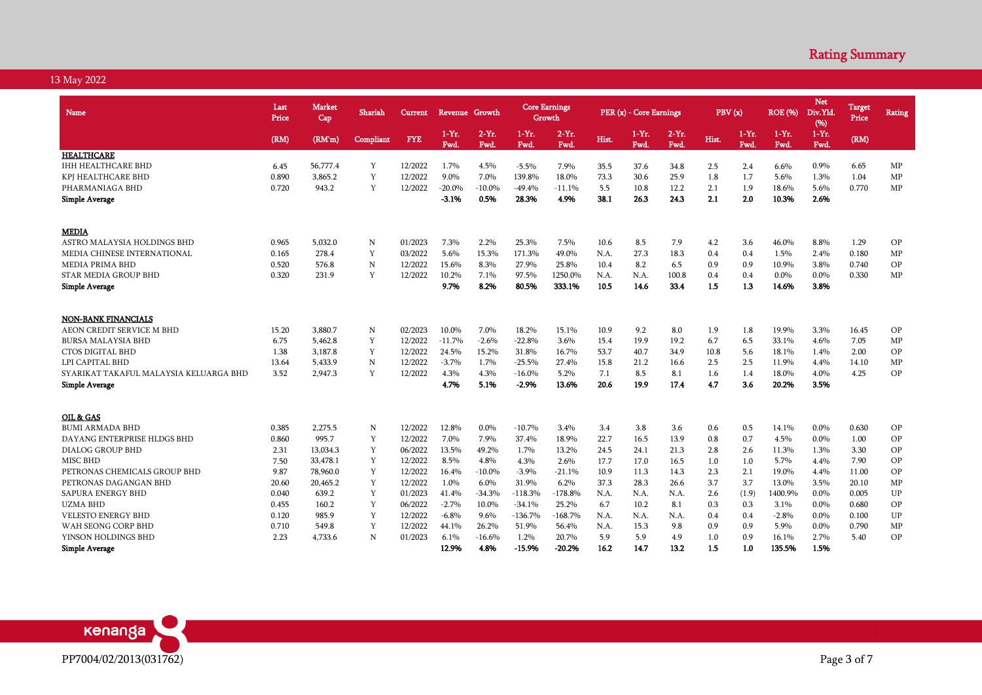| Name                                   | Last<br>Price | <b>Market</b><br>Cap | Shariah     | Current    |                    | Revenue Growth   |                  | <b>Core Earnings</b><br>Growth |       | PER (x) - Core Earnings |                  |       | PBV(x)          | <b>ROE</b> (%)   | <b>Net</b><br>Div.Yld.<br>(96) | Target<br>Price | Rating     |
|----------------------------------------|---------------|----------------------|-------------|------------|--------------------|------------------|------------------|--------------------------------|-------|-------------------------|------------------|-------|-----------------|------------------|--------------------------------|-----------------|------------|
|                                        | (RM)          | (RM'm)               | Compliant   | <b>FYE</b> | $1 - Yr$ .<br>Fwd. | $2-Yr$ .<br>Fwd. | $1-Yr$ .<br>Fwd. | $2-Yr$ .<br>Fwd.               | Hist. | $1-Yr$ .<br>Fwd.        | $2-Yr$ .<br>Fwd. | Hist. | $1-Yr.$<br>Fwd. | $1-Yr$ .<br>Fwd. | $1-Yr$ .<br>Fwd.               | (RM)            |            |
| <b>HEALTHCARE</b>                      |               |                      |             |            |                    |                  |                  |                                |       |                         |                  |       |                 |                  |                                |                 |            |
| <b>IHH HEALTHCARE BHD</b>              | 6.45          | 56,777.4             | Y           | 12/2022    | 1.7%               | 4.5%             | $-5.5%$          | 7.9%                           | 35.5  | 37.6                    | 34.8             | 2.5   | 2.4             | 6.6%             | 0.9%                           | 6.65            | MP         |
| KPJ HEALTHCARE BHD                     | 0.890         | 3.865.2              | Y           | 12/2022    | 9.0%               | 7.0%             | 139.8%           | 18.0%                          | 73.3  | 30.6                    | 25.9             | 1.8   | 1.7             | 5.6%             | 1.3%                           | 1.04            | MP         |
| PHARMANIAGA BHD                        | 0.720         | 943.2                | Y           | 12/2022    | $-20.0\%$          | $-10.0\%$        | $-49.4%$         | $-11.1%$                       | 5.5   | 10.8                    | 12.2             | 2.1   | 1.9             | 18.6%            | 5.6%                           | 0.770           | MP         |
| <b>Simple Average</b>                  |               |                      |             |            | $-3.1%$            | 0.5%             | 28.3%            | 4.9%                           | 38.1  | 26.3                    | 24.3             | 2.1   | 2.0             | 10.3%            | 2.6%                           |                 |            |
| <b>MEDIA</b>                           |               |                      |             |            |                    |                  |                  |                                |       |                         |                  |       |                 |                  |                                |                 |            |
| ASTRO MALAYSIA HOLDINGS BHD            | 0.965         | 5.032.0              | N           | 01/2023    | 7.3%               | 2.2%             | 25.3%            | 7.5%                           | 10.6  | 8.5                     | 7.9              | 4.2   | 3.6             | 46.0%            | 8.8%                           | 1.29            | OP         |
| MEDIA CHINESE INTERNATIONAL            | 0.165         | 278.4                | Y           | 03/2022    | 5.6%               | 15.3%            | 171.3%           | 49.0%                          | N.A.  | 27.3                    | 18.3             | 0.4   | 0.4             | 1.5%             | 2.4%                           | 0.180           | MP         |
| <b>MEDIA PRIMA BHD</b>                 | 0.520         | 576.8                | N           | 12/2022    | 15.6%              | 8.3%             | 27.9%            | 25.8%                          | 10.4  | 8.2                     | 6.5              | 0.9   | 0.9             | 10.9%            | 3.8%                           | 0.740           | OP         |
| <b>STAR MEDIA GROUP BHD</b>            | 0.320         | 231.9                | Y           | 12/2022    | 10.2%              | 7.1%             | 97.5%            | 1250.0%                        | N.A.  | N.A.                    | 100.8            | 0.4   | 0.4             | 0.0%             | 0.0%                           | 0.330           | MP         |
| <b>Simple Average</b>                  |               |                      |             |            | 9.7%               | 8.2%             | 80.5%            | 333.1%                         | 10.5  | 14.6                    | 33.4             | 1.5   | 1.3             | 14.6%            | 3.8%                           |                 |            |
|                                        |               |                      |             |            |                    |                  |                  |                                |       |                         |                  |       |                 |                  |                                |                 |            |
| <b>NON-BANK FINANCIALS</b>             |               |                      |             |            |                    |                  |                  |                                |       |                         |                  |       |                 |                  |                                |                 |            |
| AEON CREDIT SERVICE M BHD              | 15.20         | 3.880.7              | N           | 02/2023    | 10.0%              | 7.0%             | 18.2%            | 15.1%                          | 10.9  | 9.2                     | 8.0              | 1.9   | 1.8             | 19.9%            | 3.3%                           | 16.45           | OP         |
| <b>BURSA MALAYSIA BHD</b>              | 6.75          | 5,462.8              | Y           | 12/2022    | $-11.7%$           | $-2.6%$          | $-22.8%$         | 3.6%                           | 15.4  | 19.9                    | 19.2             | 6.7   | 6.5             | 33.1%            | 4.6%                           | 7.05            | MP         |
| <b>CTOS DIGITAL BHD</b>                | 1.38          | 3,187.8              | Y           | 12/2022    | 24.5%              | 15.2%            | 31.8%            | 16.7%                          | 53.7  | 40.7                    | 34.9             | 10.8  | 5.6             | 18.1%            | 1.4%                           | 2.00            | OP         |
| LPI CAPITAL BHD                        | 13.64         | 5,433.9              | $\mathbb N$ | 12/2022    | $-3.7%$            | 1.7%             | $-25.5%$         | 27.4%                          | 15.8  | 21.2                    | 16.6             | 2.5   | 2.5             | 11.9%            | 4.4%                           | 14.10           | MP         |
| SYARIKAT TAKAFUL MALAYSIA KELUARGA BHD | 3.52          | 2,947.3              | Y           | 12/2022    | 4.3%               | 4.3%             | $-16.0\%$        | 5.2%                           | 7.1   | 8.5                     | 8.1              | 1.6   | 1.4             | 18.0%            | 4.0%                           | 4.25            | OP         |
| <b>Simple Average</b>                  |               |                      |             |            | 4.7%               | 5.1%             | -2.9%            | 13.6%                          | 20.6  | 19.9                    | 17.4             | 4.7   | 3.6             | 20.2%            | 3.5%                           |                 |            |
|                                        |               |                      |             |            |                    |                  |                  |                                |       |                         |                  |       |                 |                  |                                |                 |            |
| OIL & GAS<br><b>BUMI ARMADA BHD</b>    | 0.385         | 2,275.5              | N           | 12/2022    | 12.8%              | 0.0%             | $-10.7%$         | 3.4%                           | 3.4   | 3.8                     | 3.6              | 0.6   | 0.5             | 14.1%            | 0.0%                           | 0.630           | OP         |
| DAYANG ENTERPRISE HLDGS BHD            | 0.860         | 995.7                | Y           | 12/2022    | 7.0%               | 7.9%             | 37.4%            | 18.9%                          | 22.7  | 16.5                    | 13.9             | 0.8   | 0.7             | 4.5%             | $0.0\%$                        | 1.00            | OP         |
|                                        | 2.31          | 13,034.3             | Y           | 06/2022    | 13.5%              | 49.2%            | 1.7%             | 13.2%                          | 24.5  |                         | 21.3             | 2.8   | 2.6             | 11.3%            | 1.3%                           | 3.30            | OP         |
| DIALOG GROUP BHD<br><b>MISC BHD</b>    | 7.50          | 33,478.1             | Y           | 12/2022    | 8.5%               | 4.8%             | 4.3%             | 2.6%                           | 17.7  | 24.1<br>17.0            | 16.5             | 1.0   | 1.0             | 5.7%             | 4.4%                           | 7.90            | OP         |
|                                        |               |                      | Y           | 12/2022    | 16.4%              |                  | $-3.9%$          |                                |       |                         |                  | 2.3   | 2.1             | 19.0%            |                                |                 | OP         |
| PETRONAS CHEMICALS GROUP BHD           | 9.87          | 78,960.0             |             |            |                    | $-10.0\%$        |                  | $-21.1%$                       | 10.9  | 11.3                    | 14.3             |       |                 |                  | 4.4%                           | 11.00           |            |
| PETRONAS DAGANGAN BHD                  | 20.60         | 20,465.2             | Y           | 12/2022    | 1.0%               | 6.0%             | 31.9%            | 6.2%                           | 37.3  | 28.3                    | 26.6             | 3.7   | 3.7             | 13.0%            | 3.5%                           | 20.10           | MP         |
| SAPURA ENERGY BHD                      | 0.040         | 639.2                | Y           | 01/2023    | 41.4%              | $-34.3%$         | $-118.3%$        | $-178.8%$                      | N.A.  | N.A.                    | N.A.             | 2.6   | (1.9)           | 1400.9%          | 0.0%                           | 0.005           | ${\rm UP}$ |
| <b>UZMA BHD</b>                        | 0.455         | 160.2                | Y<br>Y      | 06/2022    | $-2.7%$            | 10.0%            | $-34.1%$         | 25.2%                          | 6.7   | 10.2                    | 8.1              | 0.3   | 0.3             | 3.1%             | 0.0%                           | 0.680           | OP         |
| <b>VELESTO ENERGY BHD</b>              | 0.120         | 985.9                |             | 12/2022    | $-6.8%$            | 9.6%             | $-136.7%$        | $-168.7\%$                     | N.A.  | N.A.                    | N.A.             | 0.4   | 0.4             | $-2.8%$          | 0.0%                           | 0.100           | <b>UP</b>  |
| WAH SEONG CORP BHD                     | 0.710         | 549.8                | Y           | 12/2022    | 44.1%              | 26.2%            | 51.9%            | 56.4%                          | N.A.  | 15.3                    | 9.8              | 0.9   | 0.9             | 5.9%             | 0.0%                           | 0.790           | MP         |
| YINSON HOLDINGS BHD                    | 2.23          | 4.733.6              | N           | 01/2023    | 6.1%               | $-16.6%$         | 1.2%             | 20.7%                          | 5.9   | 5.9                     | 4.9              | 1.0   | 0.9             | 16.1%            | 2.7%                           | 5.40            | OP         |
| <b>Simple Average</b>                  |               |                      |             |            | 12.9%              | 4.8%             | $-15.9%$         | $-20.2%$                       | 16.2  | 14.7                    | 13.2             | 1.5   | 1.0             | 135.5%           | 1.5%                           |                 |            |

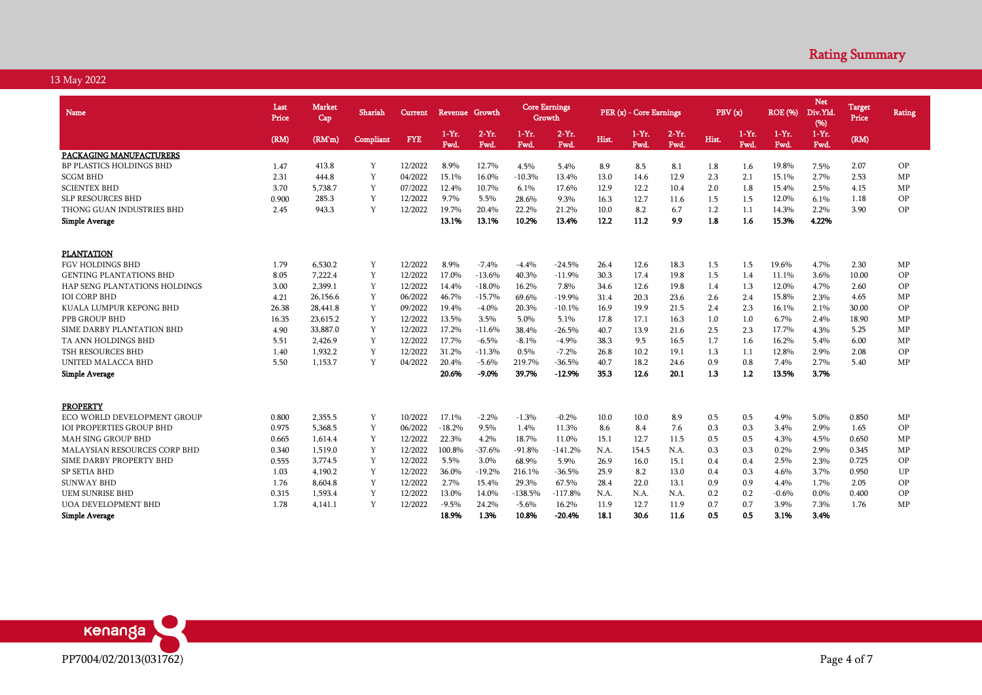| <b>Name</b>                          | Last<br>Price | <b>Market</b><br>Cap | Shariah          | <b>Current</b> | Revenue Growth     |                  | <b>Core Earnings</b><br>Growth |                |       | PER (x) - Core Earnings |                  | PBV(x) |                 | <b>ROE</b> (%)   | <b>Net</b><br>Div.Yld<br>(96) | <b>Target</b><br>Price | <b>Rating</b> |
|--------------------------------------|---------------|----------------------|------------------|----------------|--------------------|------------------|--------------------------------|----------------|-------|-------------------------|------------------|--------|-----------------|------------------|-------------------------------|------------------------|---------------|
|                                      | (RM)          | (RM'm)               | <b>Compliant</b> | <b>FYE</b>     | $1 - Yr$ .<br>Fwd. | $2-Yr$ .<br>Fwd. | $1-Yr.$<br>Fwd.                | $2-Yr.$<br>Fwd | Hist. | $1-Yr.$<br>Fwd.         | $2-Yr$ .<br>Fwd. | Hist.  | $1-Yr.$<br>Fwd. | $1-Yr$ .<br>Fwd. | $1-Yr.$<br>Fwd.               | (RM)                   |               |
| PACKAGING MANUFACTURERS              |               |                      |                  |                |                    |                  |                                |                |       |                         |                  |        |                 |                  |                               |                        |               |
| BP PLASTICS HOLDINGS BHD             | 1.47          | 413.8                | Y                | 12/2022        | 8.9%               | 12.7%            | 4.5%                           | 5.4%           | 8.9   | 8.5                     | 8.1              | 1.8    | 1.6             | 19.8%            | 7.5%                          | 2.07                   | OP            |
| <b>SCGM BHD</b>                      | 2.31          | 444.8                | Y                | 04/2022        | 15.1%              | 16.0%            | $-10.3%$                       | 13.4%          | 13.0  | 14.6                    | 12.9             | 2.3    | 2.1             | 15.1%            | 2.7%                          | 2.53                   | MP            |
| <b>SCIENTEX BHD</b>                  | 3.70          | 5.738.7              | Y                | 07/2022        | 12.4%              | 10.7%            | 6.1%                           | 17.6%          | 12.9  | 12.2                    | 10.4             | 2.0    | 1.8             | 15.4%            | 2.5%                          | 4.15                   | MP            |
| <b>SLP RESOURCES BHD</b>             | 0.900         | 285.3                | Y                | 12/2022        | 9.7%               | 5.5%             | 28.6%                          | 9.3%           | 16.3  | 12.7                    | 11.6             | 1.5    | 1.5             | 12.0%            | 6.1%                          | 1.18                   | OP            |
| THONG GUAN INDUSTRIES BHD            | 2.45          | 943.3                | Y                | 12/2022        | 19.7%              | 20.4%            | 22.2%                          | 21.2%          | 10.0  | 8.2                     | 6.7              | 1.2    | 1.1             | 14.3%            | 2.2%                          | 3.90                   | OP            |
| <b>Simple Average</b>                |               |                      |                  |                | 13.1%              | 13.1%            | 10.2%                          | 13.4%          | 12.2  | 11.2                    | 9.9              | 1.8    | 1.6             | 15.3%            | 4.22%                         |                        |               |
| <b>PLANTATION</b>                    |               |                      |                  |                |                    |                  |                                |                |       |                         |                  |        |                 |                  |                               |                        |               |
| <b>FGV HOLDINGS BHD</b>              | 1.79          | 6,530.2              | Y                | 12/2022        | 8.9%               | $-7.4%$          | $-4.4%$                        | $-24.5%$       | 26.4  | 12.6                    | 18.3             | 1.5    | 1.5             | 19.6%            | 4.7%                          | 2.30                   | MP            |
| <b>GENTING PLANTATIONS BHD</b>       | 8.05          | 7.222.4              | Y                | 12/2022        | 17.0%              | $-13.6%$         | 40.3%                          | $-11.9%$       | 30.3  | 17.4                    | 19.8             | 1.5    | 1.4             | 11.1%            | 3.6%                          | 10.00                  | <b>OP</b>     |
| <b>HAP SENG PLANTATIONS HOLDINGS</b> | 3.00          | 2,399.1              | Y                | 12/2022        | 14.4%              | $-18.0%$         | 16.2%                          | 7.8%           | 34.6  | 12.6                    | 19.8             | 1.4    | 1.3             | 12.0%            | 4.7%                          | 2.60                   | OP            |
| <b>IOI CORP BHD</b>                  | 4.21          | 26.156.6             | Y                | 06/2022        | 46.7%              | $-15.7%$         | 69.6%                          | $-19.9%$       | 31.4  | 20.3                    | 23.6             | 2.6    | 2.4             | 15.8%            | 2.3%                          | 4.65                   | MP            |
| KUALA LUMPUR KEPONG BHD              | 26.38         | 28,441.8             | Y                | 09/2022        | 19.4%              | $-4.0%$          | 20.3%                          | -10.1%         | 16.9  | 19.9                    | 21.5             | 2.4    | 2.3             | 16.1%            | 2.1%                          | 30.00                  | OP            |
| PPB GROUP BHD                        | 16.35         | 23.615.2             | Y                | 12/2022        | 13.5%              | 3.5%             | 5.0%                           | 5.1%           | 17.8  | 17.1                    | 16.3             | 1.0    | 1.0             | 6.7%             | 2.4%                          | 18.90                  | MP            |
| SIME DARBY PLANTATION BHD            | 4.90          | 33,887.0             | Y                | 12/2022        | 17.2%              | $-11.6%$         | 38.4%                          | $-26.5%$       | 40.7  | 13.9                    | 21.6             | 2.5    | 2.3             | 17.7%            | 4.3%                          | 5.25                   | MP            |
| TA ANN HOLDINGS BHD                  | 5.51          | 2,426.9              | Y                | 12/2022        | 17.7%              | $-6.5%$          | $-8.1%$                        | $-4.9%$        | 38.3  | 9.5                     | 16.5             | 1.7    | 1.6             | 16.2%            | 5.4%                          | 6.00                   | MP            |
| <b>TSH RESOURCES BHD</b>             | 1.40          | 1,932.2              | Y                | 12/2022        | 31.2%              | $-11.3%$         | 0.5%                           | $-7.2%$        | 26.8  | 10.2                    | 19.1             | 1.3    | 1.1             | 12.8%            | 2.9%                          | 2.08                   | OP            |
| UNITED MALACCA BHD                   | 5.50          | 1.153.7              | Y                | 04/2022        | 20.4%              | $-5.6%$          | 219.7%                         | -36.5%         | 40.7  | 18.2                    | 24.6             | 0.9    | 0.8             | 7.4%             | 2.7%                          | 5.40                   | MP            |
| <b>Simple Average</b>                |               |                      |                  |                | 20.6%              | $-9.0%$          | 39.7%                          | $-12.9%$       | 35.3  | 12.6                    | 20.1             | 1.3    | 1.2             | 13.5%            | 3.7%                          |                        |               |
| <b>PROPERTY</b>                      |               |                      |                  |                |                    |                  |                                |                |       |                         |                  |        |                 |                  |                               |                        |               |
| ECO WORLD DEVELOPMENT GROUP          | 0.800         | 2,355.5              | Y                | 10/2022        | 17.1%              | $-2.2%$          | $-1.3%$                        | $-0.2%$        | 10.0  | 10.0                    | 8.9              | 0.5    | 0.5             | 4.9%             | 5.0%                          | 0.850                  | MP            |
| <b>IOI PROPERTIES GROUP BHD</b>      | 0.975         | 5,368.5              | Y                | 06/2022        | $-18.2%$           | 9.5%             | 1.4%                           | 11.3%          | 8.6   | 8.4                     | 7.6              | 0.3    | 0.3             | 3.4%             | 2.9%                          | 1.65                   | OP            |
| <b>MAH SING GROUP BHD</b>            | 0.665         | 1,614.4              | Y                | 12/2022        | 22.3%              | 4.2%             | 18.7%                          | 11.0%          | 15.1  | 12.7                    | 11.5             | 0.5    | 0.5             | 4.3%             | 4.5%                          | 0.650                  | MP            |
| <b>MALAYSIAN RESOURCES CORP BHD</b>  | 0.340         | 1,519.0              | Y                | 12/2022        | 100.8%             | $-37.6%$         | $-91.8%$                       | $-141.2%$      | N.A.  | 154.5                   | N.A.             | 0.3    | 0.3             | 0.2%             | 2.9%                          | 0.345                  | MP            |
| SIME DARBY PROPERTY BHD              | 0.555         | 3,774.5              | Y                | 12/2022        | 5.5%               | 3.0%             | 68.9%                          | 5.9%           | 26.9  | 16.0                    | 15.1             | 0.4    | 0.4             | 2.5%             | 2.3%                          | 0.725                  | OP            |
| <b>SP SETIA BHD</b>                  | 1.03          | 4,190.2              | Y                | 12/2022        | 36.0%              | $-19.2%$         | 216.1%                         | $-36.5%$       | 25.9  | 8.2                     | 13.0             | 0.4    | 0.3             | 4.6%             | 3.7%                          | 0.950                  | UP            |
| <b>SUNWAY BHD</b>                    | 1.76          | 8.604.8              | Y                | 12/2022        | 2.7%               | 15.4%            | 29.3%                          | 67.5%          | 28.4  | 22.0                    | 13.1             | 0.9    | 0.9             | 4.4%             | 1.7%                          | 2.05                   | <b>OP</b>     |
| <b>UEM SUNRISE BHD</b>               | 0.315         | 1,593.4              | Y                | 12/2022        | 13.0%              | 14.0%            | $-138.5%$                      | $-117.8%$      | N.A.  | N.A.                    | N.A.             | 0.2    | 0.2             | $-0.6%$          | $0.0\%$                       | 0.400                  | OP            |
| <b>UOA DEVELOPMENT BHD</b>           | 1.78          | 4,141.1              | Y                | 12/2022        | $-9.5%$            | 24.2%            | $-5.6%$                        | 16.2%          | 11.9  | 12.7                    | 11.9             | 0.7    | 0.7             | 3.9%             | 7.3%                          | 1.76                   | MP            |
| Simple Average                       |               |                      |                  |                | 18.9%              | 1.3%             | 10.8%                          | $-20.4%$       | 18.1  | 30.6                    | 11.6             | 0.5    | 0.5             | 3.1%             | 3.4%                          |                        |               |

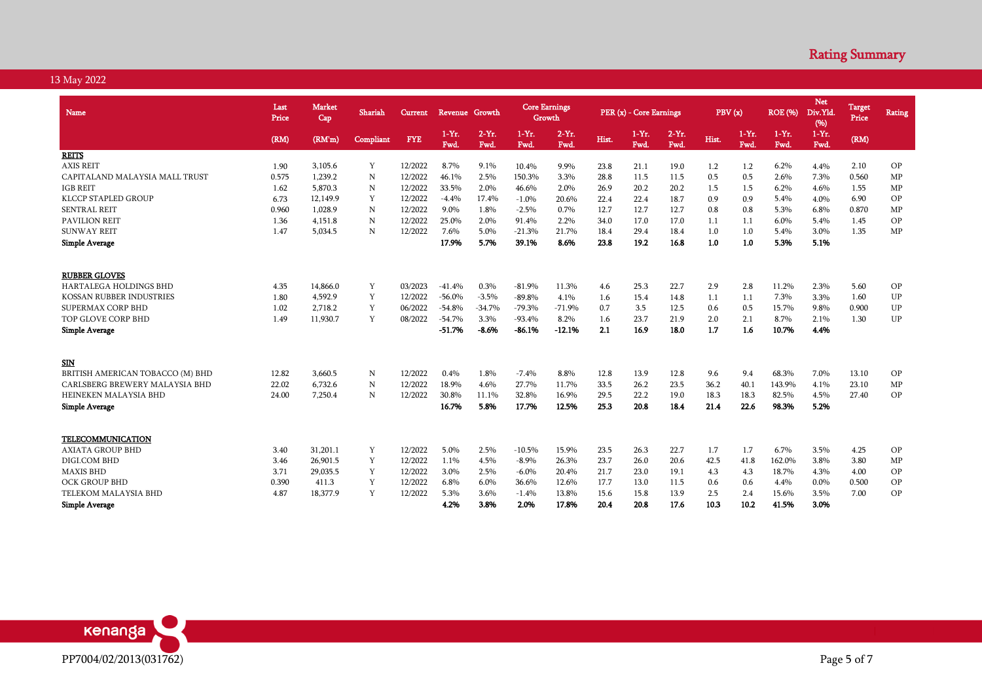| Name                             | Last<br>Price | <b>Market</b><br>Cap | Shariah   | <b>Current</b> | Revenue Growth  |                  | <b>Core Earnings</b><br>Growth |                 |       | PER (x) - Core Earnings |                 | PBV(x) |                 | <b>ROE</b> (%)   | <b>Net</b><br>Div.Yld<br>(96) | <b>Target</b><br>Price | <b>Rating</b> |
|----------------------------------|---------------|----------------------|-----------|----------------|-----------------|------------------|--------------------------------|-----------------|-------|-------------------------|-----------------|--------|-----------------|------------------|-------------------------------|------------------------|---------------|
|                                  | (RM)          | (RM'm)               | Compliant | <b>FYE</b>     | $1-Yr.$<br>Fwd. | $2-Yr$ .<br>Fwd. | $1-Yr.$<br>Fwd.                | $2-Yr.$<br>Fwd. | Hist. | $1-Yr.$<br>Fwd.         | $2-Yr.$<br>Fwd. | Hist.  | $1-Yr.$<br>Fwd. | $1-Yr$ .<br>Fwd. | $1-Yr$ .<br>Fwd.              | (RM)                   |               |
| <b>REITS</b>                     |               |                      |           |                |                 |                  |                                |                 |       |                         |                 |        |                 |                  |                               |                        |               |
| <b>AXIS REIT</b>                 | 1.90          | 3,105.6              | Y         | 12/2022        | 8.7%            | 9.1%             | 10.4%                          | 9.9%            | 23.8  | 21.1                    | 19.0            | 1.2    | 1.2             | 6.2%             | 4.4%                          | 2.10                   | OP            |
| CAPITALAND MALAYSIA MALL TRUST   | 0.575         | 1,239.2              | N         | 12/2022        | 46.1%           | 2.5%             | 150.3%                         | 3.3%            | 28.8  | 11.5                    | 11.5            | 0.5    | 0.5             | 2.6%             | 7.3%                          | 0.560                  | MP            |
| <b>IGB REIT</b>                  | 1.62          | 5,870.3              | N         | 12/2022        | 33.5%           | 2.0%             | 46.6%                          | 2.0%            | 26.9  | 20.2                    | 20.2            | 1.5    | 1.5             | 6.2%             | 4.6%                          | 1.55                   | MP            |
| <b>KLCCP STAPLED GROUP</b>       | 6.73          | 12,149.9             | Y         | 12/2022        | $-4.4%$         | 17.4%            | $-1.0%$                        | 20.6%           | 22.4  | 22.4                    | 18.7            | 0.9    | 0.9             | 5.4%             | 4.0%                          | 6.90                   | OP            |
| <b>SENTRAL REIT</b>              | 0.960         | 1,028.9              | N         | 12/2022        | 9.0%            | 1.8%             | $-2.5%$                        | 0.7%            | 12.7  | 12.7                    | 12.7            | 0.8    | 0.8             | 5.3%             | 6.8%                          | 0.870                  | MP            |
| <b>PAVILION REIT</b>             | 1.36          | 4,151.8              | N         | 12/2022        | 25.0%           | 2.0%             | 91.4%                          | 2.2%            | 34.0  | 17.0                    | 17.0            | 1.1    | 1.1             | 6.0%             | 5.4%                          | 1.45                   | OP            |
| <b>SUNWAY REIT</b>               | 1.47          | 5,034.5              | N         | 12/2022        | 7.6%            | 5.0%             | $-21.3%$                       | 21.7%           | 18.4  | 29.4                    | 18.4            | 1.0    | 1.0             | 5.4%             | 3.0%                          | 1.35                   | MP            |
| <b>Simple Average</b>            |               |                      |           |                | 17.9%           | 5.7%             | 39.1%                          | 8.6%            | 23.8  | 19.2                    | 16.8            | 1.0    | 1.0             | 5.3%             | 5.1%                          |                        |               |
| <b>RUBBER GLOVES</b>             |               |                      |           |                |                 |                  |                                |                 |       |                         |                 |        |                 |                  |                               |                        |               |
| <b>HARTALEGA HOLDINGS BHD</b>    | 4.35          | 14,866.0             | Y         | 03/2023        | $-41.4%$        | 0.3%             | $-81.9%$                       | 11.3%           | 4.6   | 25.3                    | 22.7            | 2.9    | 2.8             | 11.2%            | 2.3%                          | 5.60                   | OP            |
| KOSSAN RUBBER INDUSTRIES         | 1.80          | 4,592.9              | Y         | 12/2022        | $-56.0%$        | $-3.5%$          | $-89.8%$                       | 4.1%            | 1.6   | 15.4                    | 14.8            | 1.1    | 1.1             | 7.3%             | 3.3%                          | 1.60                   | UP            |
| SUPERMAX CORP BHD                | 1.02          | 2,718.2              | Y         | 06/2022        | $-54.8%$        | $-34.7%$         | $-79.3%$                       | $-71.9%$        | 0.7   | 3.5                     | 12.5            | 0.6    | 0.5             | 15.7%            | 9.8%                          | 0.900                  | UP            |
| TOP GLOVE CORP BHD               | 1.49          | 11,930.7             | Y         | 08/2022        | $-54.7%$        | 3.3%             | $-93.4%$                       | 8.2%            | 1.6   | 23.7                    | 21.9            | 2.0    | 2.1             | 8.7%             | 2.1%                          | 1.30                   | UP            |
| <b>Simple Average</b>            |               |                      |           |                | $-51.7%$        | $-8.6%$          | $-86.1%$                       | $-12.1%$        | 2.1   | 16.9                    | 18.0            | 1.7    | 1.6             | 10.7%            | 4.4%                          |                        |               |
| SIN                              |               |                      |           |                |                 |                  |                                |                 |       |                         |                 |        |                 |                  |                               |                        |               |
| BRITISH AMERICAN TOBACCO (M) BHD | 12.82         | 3,660.5              | N         | 12/2022        | 0.4%            | 1.8%             | $-7.4%$                        | 8.8%            | 12.8  | 13.9                    | 12.8            | 9.6    | 9.4             | 68.3%            | 7.0%                          | 13.10                  | OP            |
| CARLSBERG BREWERY MALAYSIA BHD   | 22.02         | 6,732.6              | N         | 12/2022        | 18.9%           | 4.6%             | 27.7%                          | 11.7%           | 33.5  | 26.2                    | 23.5            | 36.2   | 40.1            | 143.9%           | 4.1%                          | 23.10                  | MP            |
| HEINEKEN MALAYSIA BHD            | 24.00         | 7,250.4              | N         | 12/2022        | 30.8%           | 11.1%            | 32.8%                          | 16.9%           | 29.5  | 22.2                    | 19.0            | 18.3   | 18.3            | 82.5%            | 4.5%                          | 27.40                  | OP            |
| <b>Simple Average</b>            |               |                      |           |                | 16.7%           | 5.8%             | 17.7%                          | 12.5%           | 25.3  | 20.8                    | 18.4            | 21.4   | 22.6            | 98.3%            | 5.2%                          |                        |               |
| TELECOMMUNICATION                |               |                      |           |                |                 |                  |                                |                 |       |                         |                 |        |                 |                  |                               |                        |               |
| <b>AXIATA GROUP BHD</b>          | 3.40          | 31,201.1             | Y         | 12/2022        | 5.0%            | 2.5%             | $-10.5%$                       | 15.9%           | 23.5  | 26.3                    | 22.7            | 1.7    | 1.7             | 6.7%             | 3.5%                          | 4.25                   | OP            |
| DIGI.COM BHD                     | 3.46          | 26,901.5             | Y         | 12/2022        | 1.1%            | 4.5%             | $-8.9\%$                       | 26.3%           | 23.7  | 26.0                    | 20.6            | 42.5   | 41.8            | 162.0%           | 3.8%                          | 3.80                   | MP            |
| <b>MAXIS BHD</b>                 | 3.71          | 29,035.5             | Y         | 12/2022        | 3.0%            | 2.5%             | $-6.0\%$                       | 20.4%           | 21.7  | 23.0                    | 19.1            | 4.3    | 4.3             | 18.7%            | 4.3%                          | 4.00                   | OP            |
| <b>OCK GROUP BHD</b>             | 0.390         | 411.3                | Y         | 12/2022        | 6.8%            | 6.0%             | 36.6%                          | 12.6%           | 17.7  | 13.0                    | 11.5            | 0.6    | 0.6             | 4.4%             | 0.0%                          | 0.500                  | OP            |
| TELEKOM MALAYSIA BHD             | 4.87          | 18,377.9             | Y         | 12/2022        | 5.3%            | 3.6%             | $-1.4%$                        | 13.8%           | 15.6  | 15.8                    | 13.9            | 2.5    | 2.4             | 15.6%            | 3.5%                          | 7.00                   | OP            |
| <b>Simple Average</b>            |               |                      |           |                | 4.2%            | 3.8%             | 2.0%                           | 17.8%           | 20.4  | 20.8                    | 17.6            | 10.3   | 10.2            | 41.5%            | 3.0%                          |                        |               |

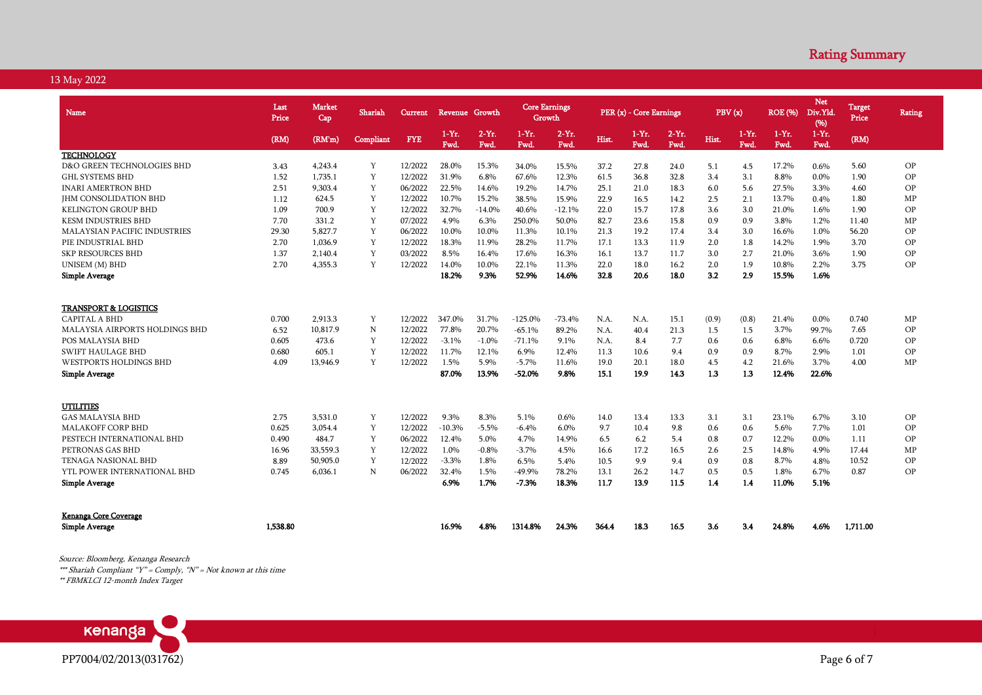| <b>Name</b>                         | Last<br>Price | <b>Market</b><br>Cap | Shariah   | <b>Current</b> | Revenue Growth |                 | <b>Core Earnings</b><br>Growth |                  |       | PER (x) - Core Earnings |                 | PBV(x) |                  | <b>ROE</b> (%)        | <b>Net</b><br>Div.Yld<br>(96) | <b>Target</b><br>Price | <b>Rating</b> |
|-------------------------------------|---------------|----------------------|-----------|----------------|----------------|-----------------|--------------------------------|------------------|-------|-------------------------|-----------------|--------|------------------|-----------------------|-------------------------------|------------------------|---------------|
|                                     | (RM)          | (RM'm)               | Compliant | <b>FYE</b>     | $1-Yr.$<br>Fwd | $2-Yr.$<br>Fwd. | $1-Yr.$<br><b>Fwd</b>          | $2-Yr$ .<br>Fwd. | Hist. | $1-Yr.$<br>Fwd          | $2-Yr.$<br>Fwd. | Hist.  | $1-Yr$ .<br>Fwd. | $1-Yr.$<br><b>Fwd</b> | $1-Yr.$<br>Fwd.               | (RM)                   |               |
| <b>TECHNOLOGY</b>                   |               |                      |           |                |                |                 |                                |                  |       |                         |                 |        |                  |                       |                               |                        |               |
| D&O GREEN TECHNOLOGIES BHD          | 3.43          | 4.243.4              | Y         | 12/2022        | 28.0%          | 15.3%           | 34.0%                          | 15.5%            | 37.2  | 27.8                    | 24.0            | 5.1    | 4.5              | 17.2%                 | 0.6%                          | 5.60                   | OP            |
| <b>GHL SYSTEMS BHD</b>              | 1.52          | 1.735.1              | Y         | 12/2022        | 31.9%          | 6.8%            | 67.6%                          | 12.3%            | 61.5  | 36.8                    | 32.8            | 3.4    | 3.1              | 8.8%                  | 0.0%                          | 1.90                   | ΟP            |
| <b>INARI AMERTRON BHD</b>           | 2.51          | 9.303.4              | Y         | 06/2022        | 22.5%          | 14.6%           | 19.2%                          | 14.7%            | 25.1  | 21.0                    | 18.3            | 6.0    | 5.6              | 27.5%                 | 3.3%                          | 4.60                   | OP            |
| <b>JHM CONSOLIDATION BHD</b>        | 1.12          | 624.5                | Y         | 12/2022        | 10.7%          | 15.2%           | 38.5%                          | 15.9%            | 22.9  | 16.5                    | 14.2            | 2.5    | 2.1              | 13.7%                 | 0.4%                          | 1.80                   | MP            |
| <b>KELINGTON GROUP BHD</b>          | 1.09          | 700.9                | Y         | 12/2022        | 32.7%          | $-14.0%$        | 40.6%                          | $-12.1%$         | 22.0  | 15.7                    | 17.8            | 3.6    | 3.0              | 21.0%                 | 1.6%                          | 1.90                   | OP            |
| <b>KESM INDUSTRIES BHD</b>          | 7.70          | 331.2                | Y         | 07/2022        | 4.9%           | 6.3%            | 250.0%                         | 50.0%            | 82.7  | 23.6                    | 15.8            | 0.9    | 0.9              | 3.8%                  | 1.2%                          | 11.40                  | MP            |
| <b>MALAYSIAN PACIFIC INDUSTRIES</b> | 29.30         | 5.827.7              | Y         | 06/2022        | 10.0%          | 10.0%           | 11.3%                          | 10.1%            | 21.3  | 19.2                    | 17.4            | 3.4    | 3.0              | 16.6%                 | 1.0%                          | 56.20                  | OP            |
| PIE INDUSTRIAL BHD                  | 2.70          | 1.036.9              | Y         | 12/2022        | 18.3%          | 11.9%           | 28.2%                          | 11.7%            | 17.1  | 13.3                    | 11.9            | 2.0    | 1.8              | 14.2%                 | 1.9%                          | 3.70                   | OP            |
| <b>SKP RESOURCES BHD</b>            | 1.37          | 2,140.4              | Y         | 03/2022        | 8.5%           | 16.4%           | 17.6%                          | 16.3%            | 16.1  | 13.7                    | 11.7            | 3.0    | 2.7              | 21.0%                 | 3.6%                          | 1.90                   | ΟP            |
| UNISEM (M) BHD                      | 2.70          | 4,355.3              | Y         | 12/2022        | 14.0%          | 10.0%           | 22.1%                          | 11.3%            | 22.0  | 18.0                    | 16.2            | 2.0    | 1.9              | 10.8%                 | 2.2%                          | 3.75                   | OP            |
| <b>Simple Average</b>               |               |                      |           |                | 18.2%          | 9.3%            | 52.9%                          | 14.6%            | 32.8  | 20.6                    | 18.0            | 3.2    | 2.9              | 15.5%                 | 1.6%                          |                        |               |
| <b>TRANSPORT &amp; LOGISTICS</b>    |               |                      |           |                |                |                 |                                |                  |       |                         |                 |        |                  |                       |                               |                        |               |
| <b>CAPITAL A BHD</b>                | 0.700         | 2,913.3              | Y         | 12/2022        | 347.0%         | 31.7%           | $-125.0%$                      | $-73.4%$         | N.A.  | N.A.                    | 15.1            | (0.9)  | (0.8)            | 21.4%                 | 0.0%                          | 0.740                  | MP            |
| MALAYSIA AIRPORTS HOLDINGS BHD      | 6.52          | 10,817.9             | N         | 12/2022        | 77.8%          | 20.7%           | $-65.1%$                       | 89.2%            | N.A.  | 40.4                    | 21.3            | 1.5    | 1.5              | 3.7%                  | 99.7%                         | 7.65                   | ΟP            |
| POS MALAYSIA BHD                    | 0.605         | 473.6                | Y         | 12/2022        | $-3.1%$        | $-1.0%$         | $-71.1%$                       | 9.1%             | N.A.  | 8.4                     | 7.7             | 0.6    | 0.6              | 6.8%                  | 6.6%                          | 0.720                  | OP            |
| <b>SWIFT HAULAGE BHD</b>            | 0.680         | 605.1                | Y         | 12/2022        | 11.7%          | 12.1%           | 6.9%                           | 12.4%            | 11.3  | 10.6                    | 9.4             | 0.9    | 0.9              | 8.7%                  | 2.9%                          | 1.01                   | ΟP            |
| <b>WESTPORTS HOLDINGS BHD</b>       | 4.09          | 13,946.9             | Y         | 12/2022        | 1.5%           | 5.9%            | $-5.7%$                        | 11.6%            | 19.0  | 20.1                    | 18.0            | 4.5    | 4.2              | 21.6%                 | 3.7%                          | 4.00                   | MP            |
| <b>Simple Average</b>               |               |                      |           |                | 87.0%          | 13.9%           | $-52.0%$                       | 9.8%             | 15.1  | 19.9                    | 14.3            | 1.3    | 1.3              | 12.4%                 | 22.6%                         |                        |               |
| UTILITIES                           |               |                      |           |                |                |                 |                                |                  |       |                         |                 |        |                  |                       |                               |                        |               |
| <b>GAS MALAYSIA BHD</b>             | 2.75          | 3.531.0              | Y         | 12/2022        | 9.3%           | 8.3%            | 5.1%                           | 0.6%             | 14.0  | 13.4                    | 13.3            | 3.1    | 3.1              | 23.1%                 | 6.7%                          | 3.10                   | OP            |
| <b>MALAKOFF CORP BHD</b>            | 0.625         | 3,054.4              | Y         | 12/2022        | $-10.3%$       | $-5.5%$         | $-6.4%$                        | 6.0%             | 9.7   | 10.4                    | 9.8             | 0.6    | 0.6              | 5.6%                  | 7.7%                          | 1.01                   | ΟP            |
| PESTECH INTERNATIONAL BHD           | 0.490         | 484.7                | Y         | 06/2022        | 12.4%          | 5.0%            | 4.7%                           | 14.9%            | 6.5   | 6.2                     | 5.4             | 0.8    | 0.7              | 12.2%                 | 0.0%                          | 1.11                   | ΟP            |
| PETRONAS GAS BHD                    | 16.96         | 33,559.3             | Y         | 12/2022        | 1.0%           | $-0.8%$         | $-3.7%$                        | 4.5%             | 16.6  | 17.2                    | 16.5            | 2.6    | 2.5              | 14.8%                 | 4.9%                          | 17.44                  | MP            |
| TENAGA NASIONAL BHD                 | 8.89          | 50,905.0             | Y         | 12/2022        | $-3.3%$        | 1.8%            | 6.5%                           | 5.4%             | 10.5  | 9.9                     | 9.4             | 0.9    | 0.8              | 8.7%                  | 4.8%                          | 10.52                  | OP            |
| YTL POWER INTERNATIONAL BHD         | 0.745         | 6,036.1              | N         | 06/2022        | 32.4%          | 1.5%            | $-49.9%$                       | 78.2%            | 13.1  | 26.2                    | 14.7            | 0.5    | 0.5              | 1.8%                  | 6.7%                          | 0.87                   | ΟP            |
| <b>Simple Average</b>               |               |                      |           |                | 6.9%           | 1.7%            | $-7.3%$                        | 18.3%            | 11.7  | 13.9                    | 11.5            | 1.4    | 1.4              | 11.0%                 | 5.1%                          |                        |               |
| Kenanga Core Coverage               |               |                      |           |                |                |                 |                                |                  |       |                         |                 |        |                  |                       |                               |                        |               |
| <b>Simple Average</b>               | 1.538.80      |                      |           |                | 16.9%          | 4.8%            | 1314.8%                        | 24.3%            | 364.4 | 18.3                    | 16.5            | 3.6    | 3.4              | 24.8%                 | 4.6%                          | 1.711.00               |               |

Source: Bloomberg, Kenanga Research

\*\*\* Shariah Compliant "Y" = Comply, "N" = Not known at this time

\*\* FBMKLCI 12-month Index Target